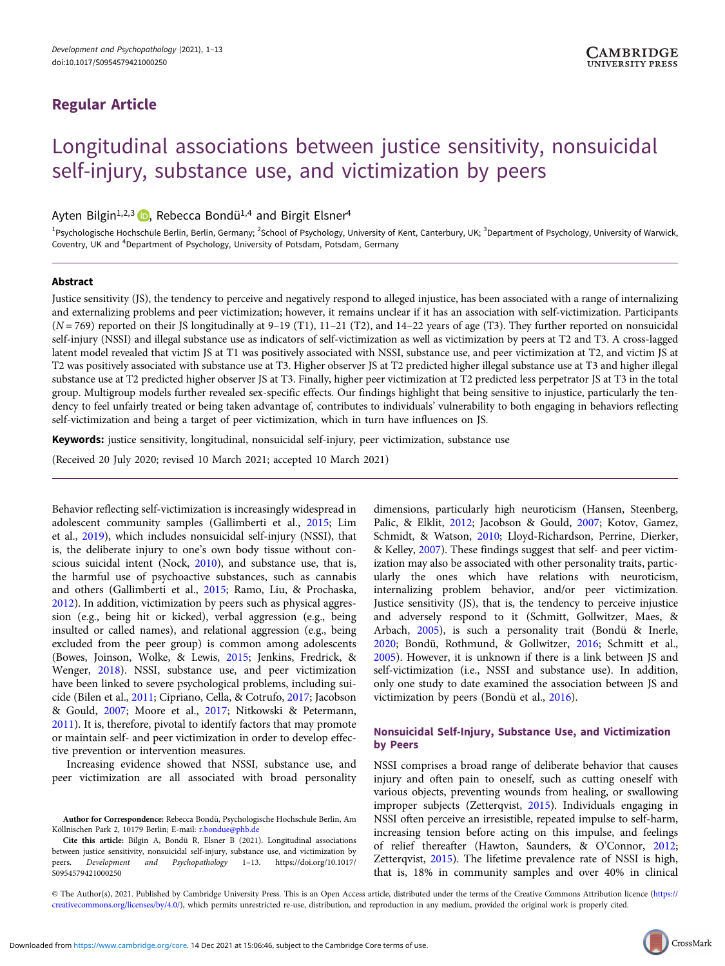# Regular Article

# Longitudinal associations between justice sensitivity, nonsuicidal self-injury, substance use, and victimization by peers

Ayten Bilgin<sup>1,2,3</sup>  $\bullet$ , Rebecca Bondü<sup>1,4</sup> and Birgit Elsner<sup>4</sup>

<sup>1</sup>Psychologische Hochschule Berlin, Berlin, Germany; <sup>2</sup>School of Psychology, University of Kent, Canterbury, UK; <sup>3</sup>Department of Psychology, University of Warwick, Coventry, UK and <sup>4</sup>Department of Psychology, University of Potsdam, Potsdam, Germany

# Abstract

Justice sensitivity (JS), the tendency to perceive and negatively respond to alleged injustice, has been associated with a range of internalizing and externalizing problems and peer victimization; however, it remains unclear if it has an association with self-victimization. Participants  $(N = 769)$  reported on their JS longitudinally at 9-19 (T1), 11-21 (T2), and 14-22 years of age (T3). They further reported on nonsuicidal self-injury (NSSI) and illegal substance use as indicators of self-victimization as well as victimization by peers at T2 and T3. A cross-lagged latent model revealed that victim JS at T1 was positively associated with NSSI, substance use, and peer victimization at T2, and victim JS at T2 was positively associated with substance use at T3. Higher observer JS at T2 predicted higher illegal substance use at T3 and higher illegal substance use at T2 predicted higher observer JS at T3. Finally, higher peer victimization at T2 predicted less perpetrator JS at T3 in the total group. Multigroup models further revealed sex-specific effects. Our findings highlight that being sensitive to injustice, particularly the tendency to feel unfairly treated or being taken advantage of, contributes to individuals' vulnerability to both engaging in behaviors reflecting self-victimization and being a target of peer victimization, which in turn have influences on JS.

Keywords: justice sensitivity, longitudinal, nonsuicidal self-injury, peer victimization, substance use

(Received 20 July 2020; revised 10 March 2021; accepted 10 March 2021)

Behavior reflecting self-victimization is increasingly widespread in adolescent community samples (Gallimberti et al., [2015](#page-11-0); Lim et al., [2019](#page-11-0)), which includes nonsuicidal self-injury (NSSI), that is, the deliberate injury to one's own body tissue without conscious suicidal intent (Nock, [2010\)](#page-12-0), and substance use, that is, the harmful use of psychoactive substances, such as cannabis and others (Gallimberti et al., [2015](#page-11-0); Ramo, Liu, & Prochaska, [2012\)](#page-12-0). In addition, victimization by peers such as physical aggression (e.g., being hit or kicked), verbal aggression (e.g., being insulted or called names), and relational aggression (e.g., being excluded from the peer group) is common among adolescents (Bowes, Joinson, Wolke, & Lewis, [2015;](#page-10-0) Jenkins, Fredrick, & Wenger, [2018\)](#page-11-0). NSSI, substance use, and peer victimization have been linked to severe psychological problems, including suicide (Bilen et al., [2011](#page-10-0); Cipriano, Cella, & Cotrufo, [2017;](#page-11-0) Jacobson & Gould, [2007](#page-11-0); Moore et al., [2017](#page-12-0); Nitkowski & Petermann, [2011\)](#page-12-0). It is, therefore, pivotal to identify factors that may promote or maintain self- and peer victimization in order to develop effective prevention or intervention measures.

Increasing evidence showed that NSSI, substance use, and peer victimization are all associated with broad personality

dimensions, particularly high neuroticism (Hansen, Steenberg, Palic, & Elklit, [2012;](#page-11-0) Jacobson & Gould, [2007](#page-11-0); Kotov, Gamez, Schmidt, & Watson, [2010](#page-11-0); Lloyd-Richardson, Perrine, Dierker, & Kelley, [2007](#page-12-0)). These findings suggest that self- and peer victimization may also be associated with other personality traits, particularly the ones which have relations with neuroticism, internalizing problem behavior, and/or peer victimization. Justice sensitivity (JS), that is, the tendency to perceive injustice and adversely respond to it (Schmitt, Gollwitzer, Maes, & Arbach, [2005\)](#page-12-0), is such a personality trait (Bondü & Inerle, [2020](#page-10-0); Bondü, Rothmund, & Gollwitzer, [2016](#page-10-0); Schmitt et al., [2005](#page-12-0)). However, it is unknown if there is a link between JS and self-victimization (i.e., NSSI and substance use). In addition, only one study to date examined the association between JS and victimization by peers (Bondü et al., [2016](#page-10-0)).

# Nonsuicidal Self-Injury, Substance Use, and Victimization by Peers

NSSI comprises a broad range of deliberate behavior that causes injury and often pain to oneself, such as cutting oneself with various objects, preventing wounds from healing, or swallowing improper subjects (Zetterqvist, [2015\)](#page-12-0). Individuals engaging in NSSI often perceive an irresistible, repeated impulse to self-harm, increasing tension before acting on this impulse, and feelings of relief thereafter (Hawton, Saunders, & O'Connor, [2012](#page-11-0); Zetterqvist, [2015\)](#page-12-0). The lifetime prevalence rate of NSSI is high, that is, 18% in community samples and over 40% in clinical

© The Author(s), 2021. Published by Cambridge University Press. This is an Open Access article, distributed under the terms of the Creative Commons Attribution licence [\(https://](https://creativecommons.org/licenses/by/4.0/) [creativecommons.org/licenses/by/4.0/](https://creativecommons.org/licenses/by/4.0/)), which permits unrestricted re-use, distribution, and reproduction in any medium, provided the original work is properly cited.



Author for Correspondence: Rebecca Bondü, Psychologische Hochschule Berlin, Am Köllnischen Park 2, 10179 Berlin; E-mail: [r.bondue@phb.de](mailto:r.bondue@phb.de)

Cite this article: Bilgin A, Bondü R, Elsner B (2021). Longitudinal associations between justice sensitivity, nonsuicidal self-injury, substance use, and victimization by peers. Development and Psychopathology 1–13. [https://doi.org/10.1017/](https://doi.org/10.1017/S0954579421000250) [S0954579421000250](https://doi.org/10.1017/S0954579421000250)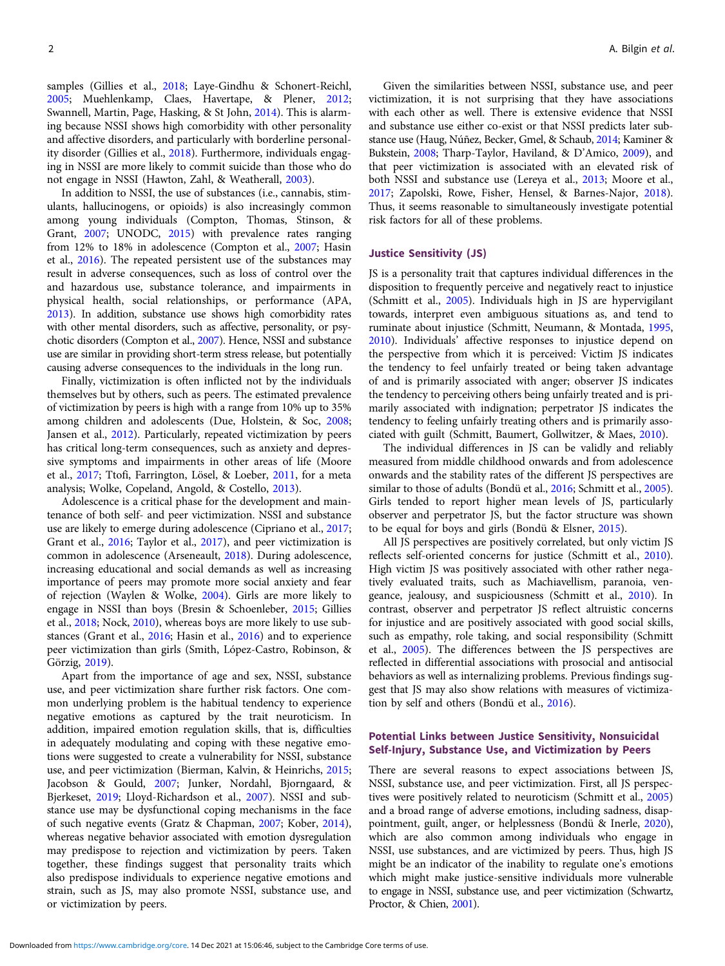samples (Gillies et al., [2018;](#page-11-0) Laye-Gindhu & Schonert-Reichl, [2005;](#page-11-0) Muehlenkamp, Claes, Havertape, & Plener, [2012;](#page-12-0) Swannell, Martin, Page, Hasking, & St John, [2014\)](#page-12-0). This is alarming because NSSI shows high comorbidity with other personality and affective disorders, and particularly with borderline personality disorder (Gillies et al., [2018\)](#page-11-0). Furthermore, individuals engaging in NSSI are more likely to commit suicide than those who do not engage in NSSI (Hawton, Zahl, & Weatherall, [2003](#page-11-0)).

In addition to NSSI, the use of substances (i.e., cannabis, stimulants, hallucinogens, or opioids) is also increasingly common among young individuals (Compton, Thomas, Stinson, & Grant, [2007](#page-11-0); UNODC, [2015](#page-12-0)) with prevalence rates ranging from 12% to 18% in adolescence (Compton et al., [2007](#page-11-0); Hasin et al., [2016\)](#page-11-0). The repeated persistent use of the substances may result in adverse consequences, such as loss of control over the and hazardous use, substance tolerance, and impairments in physical health, social relationships, or performance (APA, [2013\)](#page-10-0). In addition, substance use shows high comorbidity rates with other mental disorders, such as affective, personality, or psychotic disorders (Compton et al., [2007\)](#page-11-0). Hence, NSSI and substance use are similar in providing short-term stress release, but potentially causing adverse consequences to the individuals in the long run.

Finally, victimization is often inflicted not by the individuals themselves but by others, such as peers. The estimated prevalence of victimization by peers is high with a range from 10% up to 35% among children and adolescents (Due, Holstein, & Soc, [2008;](#page-11-0) Jansen et al., [2012](#page-11-0)). Particularly, repeated victimization by peers has critical long-term consequences, such as anxiety and depressive symptoms and impairments in other areas of life (Moore et al., [2017](#page-12-0); Ttofi, Farrington, Lösel, & Loeber, [2011,](#page-12-0) for a meta analysis; Wolke, Copeland, Angold, & Costello, [2013\)](#page-12-0).

Adolescence is a critical phase for the development and maintenance of both self- and peer victimization. NSSI and substance use are likely to emerge during adolescence (Cipriano et al., [2017;](#page-11-0) Grant et al., [2016;](#page-11-0) Taylor et al., [2017\)](#page-12-0), and peer victimization is common in adolescence (Arseneault, [2018](#page-10-0)). During adolescence, increasing educational and social demands as well as increasing importance of peers may promote more social anxiety and fear of rejection (Waylen & Wolke, [2004\)](#page-12-0). Girls are more likely to engage in NSSI than boys (Bresin & Schoenleber, [2015;](#page-10-0) Gillies et al., [2018](#page-11-0); Nock, [2010](#page-12-0)), whereas boys are more likely to use substances (Grant et al., [2016](#page-11-0); Hasin et al., [2016\)](#page-11-0) and to experience peer victimization than girls (Smith, López-Castro, Robinson, & Görzig, [2019\)](#page-12-0).

Apart from the importance of age and sex, NSSI, substance use, and peer victimization share further risk factors. One common underlying problem is the habitual tendency to experience negative emotions as captured by the trait neuroticism. In addition, impaired emotion regulation skills, that is, difficulties in adequately modulating and coping with these negative emotions were suggested to create a vulnerability for NSSI, substance use, and peer victimization (Bierman, Kalvin, & Heinrichs, [2015;](#page-10-0) Jacobson & Gould, [2007;](#page-11-0) Junker, Nordahl, Bjorngaard, & Bjerkeset, [2019](#page-11-0); Lloyd-Richardson et al., [2007\)](#page-12-0). NSSI and substance use may be dysfunctional coping mechanisms in the face of such negative events (Gratz & Chapman, [2007](#page-11-0); Kober, [2014\)](#page-11-0), whereas negative behavior associated with emotion dysregulation may predispose to rejection and victimization by peers. Taken together, these findings suggest that personality traits which also predispose individuals to experience negative emotions and strain, such as JS, may also promote NSSI, substance use, and or victimization by peers.

Given the similarities between NSSI, substance use, and peer victimization, it is not surprising that they have associations with each other as well. There is extensive evidence that NSSI and substance use either co-exist or that NSSI predicts later substance use (Haug, Núñez, Becker, Gmel, & Schaub, [2014](#page-11-0); Kaminer & Bukstein, [2008](#page-11-0); Tharp-Taylor, Haviland, & D'Amico, [2009](#page-12-0)), and that peer victimization is associated with an elevated risk of both NSSI and substance use (Lereya et al., [2013](#page-11-0); Moore et al., [2017](#page-12-0); Zapolski, Rowe, Fisher, Hensel, & Barnes-Najor, [2018](#page-12-0)). Thus, it seems reasonable to simultaneously investigate potential risk factors for all of these problems.

# Justice Sensitivity (JS)

JS is a personality trait that captures individual differences in the disposition to frequently perceive and negatively react to injustice (Schmitt et al., [2005\)](#page-12-0). Individuals high in JS are hypervigilant towards, interpret even ambiguous situations as, and tend to ruminate about injustice (Schmitt, Neumann, & Montada, [1995](#page-12-0), [2010](#page-12-0)). Individuals' affective responses to injustice depend on the perspective from which it is perceived: Victim JS indicates the tendency to feel unfairly treated or being taken advantage of and is primarily associated with anger; observer JS indicates the tendency to perceiving others being unfairly treated and is primarily associated with indignation; perpetrator JS indicates the tendency to feeling unfairly treating others and is primarily associated with guilt (Schmitt, Baumert, Gollwitzer, & Maes, [2010](#page-12-0)).

The individual differences in JS can be validly and reliably measured from middle childhood onwards and from adolescence onwards and the stability rates of the different JS perspectives are similar to those of adults (Bondü et al., [2016](#page-10-0); Schmitt et al., [2005](#page-12-0)). Girls tended to report higher mean levels of JS, particularly observer and perpetrator JS, but the factor structure was shown to be equal for boys and girls (Bondü & Elsner, [2015](#page-10-0)).

All JS perspectives are positively correlated, but only victim JS reflects self-oriented concerns for justice (Schmitt et al., [2010](#page-12-0)). High victim JS was positively associated with other rather negatively evaluated traits, such as Machiavellism, paranoia, vengeance, jealousy, and suspiciousness (Schmitt et al., [2010](#page-12-0)). In contrast, observer and perpetrator JS reflect altruistic concerns for injustice and are positively associated with good social skills, such as empathy, role taking, and social responsibility (Schmitt et al., [2005\)](#page-12-0). The differences between the JS perspectives are reflected in differential associations with prosocial and antisocial behaviors as well as internalizing problems. Previous findings suggest that JS may also show relations with measures of victimization by self and others (Bondü et al., [2016](#page-10-0)).

# Potential Links between Justice Sensitivity, Nonsuicidal Self-Injury, Substance Use, and Victimization by Peers

There are several reasons to expect associations between JS, NSSI, substance use, and peer victimization. First, all JS perspectives were positively related to neuroticism (Schmitt et al., [2005](#page-12-0)) and a broad range of adverse emotions, including sadness, disappointment, guilt, anger, or helplessness (Bondü & Inerle, [2020](#page-10-0)), which are also common among individuals who engage in NSSI, use substances, and are victimized by peers. Thus, high JS might be an indicator of the inability to regulate one's emotions which might make justice-sensitive individuals more vulnerable to engage in NSSI, substance use, and peer victimization (Schwartz, Proctor, & Chien, [2001\)](#page-12-0).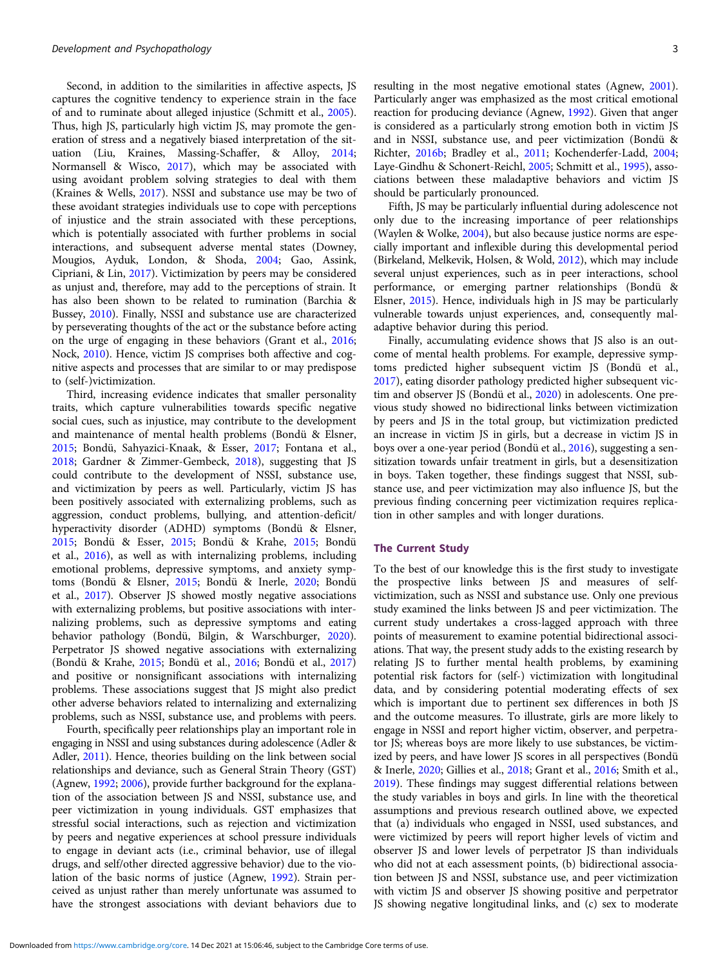Second, in addition to the similarities in affective aspects, JS captures the cognitive tendency to experience strain in the face of and to ruminate about alleged injustice (Schmitt et al., [2005\)](#page-12-0). Thus, high JS, particularly high victim JS, may promote the generation of stress and a negatively biased interpretation of the situation (Liu, Kraines, Massing-Schaffer, & Alloy, [2014;](#page-12-0) Normansell & Wisco, [2017](#page-12-0)), which may be associated with using avoidant problem solving strategies to deal with them (Kraines & Wells, [2017](#page-11-0)). NSSI and substance use may be two of these avoidant strategies individuals use to cope with perceptions of injustice and the strain associated with these perceptions, which is potentially associated with further problems in social interactions, and subsequent adverse mental states (Downey, Mougios, Ayduk, London, & Shoda, [2004](#page-11-0); Gao, Assink, Cipriani, & Lin, [2017\)](#page-11-0). Victimization by peers may be considered as unjust and, therefore, may add to the perceptions of strain. It has also been shown to be related to rumination (Barchia & Bussey, [2010\)](#page-10-0). Finally, NSSI and substance use are characterized by perseverating thoughts of the act or the substance before acting on the urge of engaging in these behaviors (Grant et al., [2016;](#page-11-0) Nock, [2010](#page-12-0)). Hence, victim JS comprises both affective and cognitive aspects and processes that are similar to or may predispose to (self-)victimization.

Third, increasing evidence indicates that smaller personality traits, which capture vulnerabilities towards specific negative social cues, such as injustice, may contribute to the development and maintenance of mental health problems (Bondü & Elsner, [2015;](#page-10-0) Bondü, Sahyazici-Knaak, & Esser, [2017;](#page-10-0) Fontana et al., [2018;](#page-11-0) Gardner & Zimmer-Gembeck, [2018\)](#page-11-0), suggesting that JS could contribute to the development of NSSI, substance use, and victimization by peers as well. Particularly, victim JS has been positively associated with externalizing problems, such as aggression, conduct problems, bullying, and attention-deficit/ hyperactivity disorder (ADHD) symptoms (Bondü & Elsner, [2015;](#page-10-0) Bondü & Esser, [2015](#page-10-0); Bondü & Krahe, [2015;](#page-10-0) Bondü et al., [2016](#page-10-0)), as well as with internalizing problems, including emotional problems, depressive symptoms, and anxiety symptoms (Bondü & Elsner, [2015;](#page-10-0) Bondü & Inerle, [2020](#page-10-0); Bondü et al., [2017\)](#page-10-0). Observer JS showed mostly negative associations with externalizing problems, but positive associations with internalizing problems, such as depressive symptoms and eating behavior pathology (Bondü, Bilgin, & Warschburger, [2020\)](#page-10-0). Perpetrator JS showed negative associations with externalizing (Bondü & Krahe, [2015](#page-10-0); Bondü et al., [2016](#page-10-0); Bondü et al., [2017\)](#page-10-0) and positive or nonsignificant associations with internalizing problems. These associations suggest that JS might also predict other adverse behaviors related to internalizing and externalizing problems, such as NSSI, substance use, and problems with peers.

Fourth, specifically peer relationships play an important role in engaging in NSSI and using substances during adolescence (Adler & Adler, [2011](#page-10-0)). Hence, theories building on the link between social relationships and deviance, such as General Strain Theory (GST) (Agnew, [1992;](#page-10-0) [2006](#page-10-0)), provide further background for the explanation of the association between JS and NSSI, substance use, and peer victimization in young individuals. GST emphasizes that stressful social interactions, such as rejection and victimization by peers and negative experiences at school pressure individuals to engage in deviant acts (i.e., criminal behavior, use of illegal drugs, and self/other directed aggressive behavior) due to the violation of the basic norms of justice (Agnew, [1992](#page-10-0)). Strain perceived as unjust rather than merely unfortunate was assumed to have the strongest associations with deviant behaviors due to

resulting in the most negative emotional states (Agnew, [2001](#page-10-0)). Particularly anger was emphasized as the most critical emotional reaction for producing deviance (Agnew, [1992](#page-10-0)). Given that anger is considered as a particularly strong emotion both in victim JS and in NSSI, substance use, and peer victimization (Bondü & Richter, [2016b](#page-10-0); Bradley et al., [2011;](#page-10-0) Kochenderfer-Ladd, [2004](#page-11-0); Laye-Gindhu & Schonert-Reichl, [2005](#page-11-0); Schmitt et al., [1995](#page-12-0)), associations between these maladaptive behaviors and victim JS should be particularly pronounced.

Fifth, JS may be particularly influential during adolescence not only due to the increasing importance of peer relationships (Waylen & Wolke, [2004](#page-12-0)), but also because justice norms are especially important and inflexible during this developmental period (Birkeland, Melkevik, Holsen, & Wold, [2012](#page-10-0)), which may include several unjust experiences, such as in peer interactions, school performance, or emerging partner relationships (Bondü & Elsner, [2015\)](#page-10-0). Hence, individuals high in JS may be particularly vulnerable towards unjust experiences, and, consequently maladaptive behavior during this period.

Finally, accumulating evidence shows that JS also is an outcome of mental health problems. For example, depressive symptoms predicted higher subsequent victim JS (Bondü et al., [2017](#page-10-0)), eating disorder pathology predicted higher subsequent victim and observer JS (Bondü et al., [2020\)](#page-10-0) in adolescents. One previous study showed no bidirectional links between victimization by peers and JS in the total group, but victimization predicted an increase in victim JS in girls, but a decrease in victim JS in boys over a one-year period (Bondü et al., [2016\)](#page-10-0), suggesting a sensitization towards unfair treatment in girls, but a desensitization in boys. Taken together, these findings suggest that NSSI, substance use, and peer victimization may also influence JS, but the previous finding concerning peer victimization requires replication in other samples and with longer durations.

#### The Current Study

To the best of our knowledge this is the first study to investigate the prospective links between JS and measures of selfvictimization, such as NSSI and substance use. Only one previous study examined the links between JS and peer victimization. The current study undertakes a cross-lagged approach with three points of measurement to examine potential bidirectional associations. That way, the present study adds to the existing research by relating JS to further mental health problems, by examining potential risk factors for (self-) victimization with longitudinal data, and by considering potential moderating effects of sex which is important due to pertinent sex differences in both JS and the outcome measures. To illustrate, girls are more likely to engage in NSSI and report higher victim, observer, and perpetrator JS; whereas boys are more likely to use substances, be victimized by peers, and have lower JS scores in all perspectives (Bondü & Inerle, [2020;](#page-10-0) Gillies et al., [2018;](#page-11-0) Grant et al., [2016](#page-11-0); Smith et al., [2019](#page-12-0)). These findings may suggest differential relations between the study variables in boys and girls. In line with the theoretical assumptions and previous research outlined above, we expected that (a) individuals who engaged in NSSI, used substances, and were victimized by peers will report higher levels of victim and observer JS and lower levels of perpetrator JS than individuals who did not at each assessment points, (b) bidirectional association between JS and NSSI, substance use, and peer victimization with victim JS and observer JS showing positive and perpetrator JS showing negative longitudinal links, and (c) sex to moderate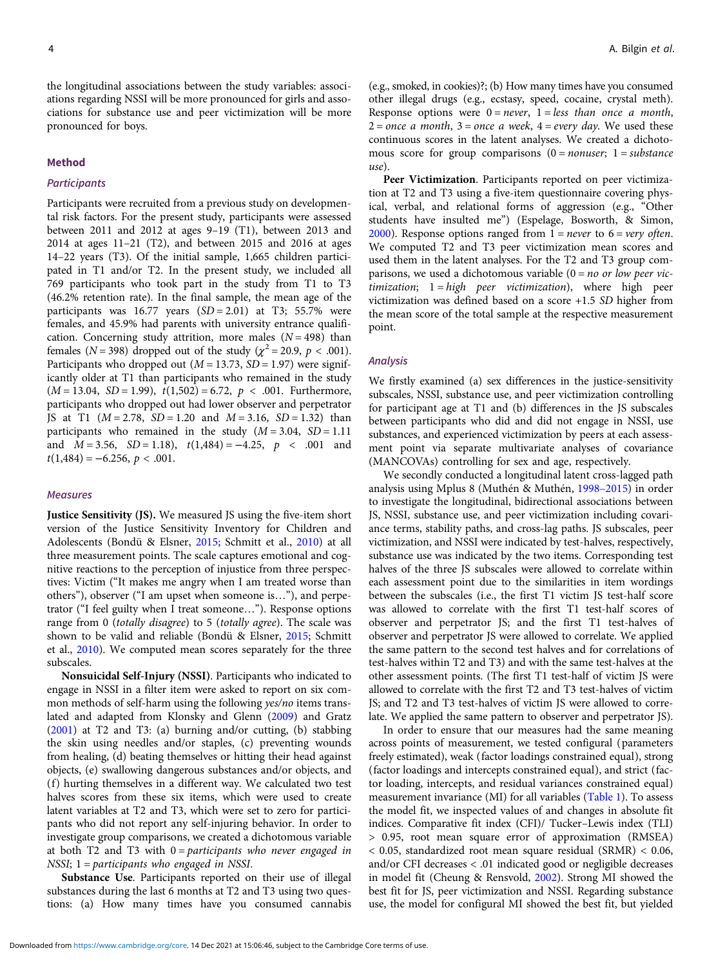the longitudinal associations between the study variables: associations regarding NSSI will be more pronounced for girls and associations for substance use and peer victimization will be more pronounced for boys.

#### Method

# **Participants**

Participants were recruited from a previous study on developmental risk factors. For the present study, participants were assessed between 2011 and 2012 at ages 9–19 (T1), between 2013 and 2014 at ages 11–21 (T2), and between 2015 and 2016 at ages 14–22 years (T3). Of the initial sample, 1,665 children participated in T1 and/or T2. In the present study, we included all 769 participants who took part in the study from T1 to T3 (46.2% retention rate). In the final sample, the mean age of the participants was  $16.77$  years  $(SD = 2.01)$  at T3; 55.7% were females, and 45.9% had parents with university entrance qualification. Concerning study attrition, more males  $(N = 498)$  than females ( $N = 398$ ) dropped out of the study ( $\chi^2 = 20.9$ ,  $p < .001$ ). Participants who dropped out ( $M = 13.73$ ,  $SD = 1.97$ ) were significantly older at T1 than participants who remained in the study  $(M = 13.04, SD = 1.99), t(1,502) = 6.72, p < .001$ . Furthermore, participants who dropped out had lower observer and perpetrator JS at T1  $(M = 2.78, SD = 1.20 \text{ and } M = 3.16, SD = 1.32)$  than participants who remained in the study  $(M = 3.04, SD = 1.11)$ and  $M = 3.56$ ,  $SD = 1.18$ ,  $t(1,484) = -4.25$ ,  $p < .001$  and  $t(1,484) = -6.256, p < .001.$ 

#### Measures

Justice Sensitivity (JS). We measured JS using the five-item short version of the Justice Sensitivity Inventory for Children and Adolescents (Bondü & Elsner, [2015;](#page-10-0) Schmitt et al., [2010](#page-12-0)) at all three measurement points. The scale captures emotional and cognitive reactions to the perception of injustice from three perspectives: Victim ("It makes me angry when I am treated worse than others"), observer ("I am upset when someone is…"), and perpetrator ("I feel guilty when I treat someone…"). Response options range from 0 (totally disagree) to 5 (totally agree). The scale was shown to be valid and reliable (Bondü & Elsner, [2015;](#page-10-0) Schmitt et al., [2010\)](#page-12-0). We computed mean scores separately for the three subscales.

Nonsuicidal Self-Injury (NSSI). Participants who indicated to engage in NSSI in a filter item were asked to report on six common methods of self-harm using the following yes/no items translated and adapted from Klonsky and Glenn [\(2009\)](#page-11-0) and Gratz ([2001\)](#page-11-0) at T2 and T3: (a) burning and/or cutting, (b) stabbing the skin using needles and/or staples, (c) preventing wounds from healing, (d) beating themselves or hitting their head against objects, (e) swallowing dangerous substances and/or objects, and (f) hurting themselves in a different way. We calculated two test halves scores from these six items, which were used to create latent variables at T2 and T3, which were set to zero for participants who did not report any self-injuring behavior. In order to investigate group comparisons, we created a dichotomous variable at both T2 and T3 with  $0 =$  participants who never engaged in NSSI; 1= participants who engaged in NSSI.

Substance Use. Participants reported on their use of illegal substances during the last 6 months at T2 and T3 using two questions: (a) How many times have you consumed cannabis

(e.g., smoked, in cookies)?; (b) How many times have you consumed other illegal drugs (e.g., ecstasy, speed, cocaine, crystal meth). Response options were  $0 = never$ ,  $1 = less than once a month$ ,  $2 =$  once a month,  $3 =$  once a week,  $4 =$  every day. We used these continuous scores in the latent analyses. We created a dichotomous score for group comparisons  $(0 = \text{nonuser}; 1 = \text{substance})$ use).

Peer Victimization. Participants reported on peer victimization at T2 and T3 using a five-item questionnaire covering physical, verbal, and relational forms of aggression (e.g., "Other students have insulted me") (Espelage, Bosworth, & Simon, [2000](#page-11-0)). Response options ranged from  $1 = never$  to  $6 = very$  often. We computed T2 and T3 peer victimization mean scores and used them in the latent analyses. For the T2 and T3 group comparisons, we used a dichotomous variable  $(0 = no \text{ or } low \text{ } per \text{ } vic$ timization; 1= high peer victimization), where high peer victimization was defined based on a score +1.5 SD higher from the mean score of the total sample at the respective measurement point.

#### **Analysis**

We firstly examined (a) sex differences in the justice-sensitivity subscales, NSSI, substance use, and peer victimization controlling for participant age at T1 and (b) differences in the JS subscales between participants who did and did not engage in NSSI, use substances, and experienced victimization by peers at each assessment point via separate multivariate analyses of covariance (MANCOVAs) controlling for sex and age, respectively.

We secondly conducted a longitudinal latent cross-lagged path analysis using Mplus 8 (Muthén & Muthén, [1998](#page-12-0)–2015) in order to investigate the longitudinal, bidirectional associations between JS, NSSI, substance use, and peer victimization including covariance terms, stability paths, and cross-lag paths. JS subscales, peer victimization, and NSSI were indicated by test-halves, respectively, substance use was indicated by the two items. Corresponding test halves of the three JS subscales were allowed to correlate within each assessment point due to the similarities in item wordings between the subscales (i.e., the first T1 victim JS test-half score was allowed to correlate with the first T1 test-half scores of observer and perpetrator JS; and the first T1 test-halves of observer and perpetrator JS were allowed to correlate. We applied the same pattern to the second test halves and for correlations of test-halves within T2 and T3) and with the same test-halves at the other assessment points. (The first T1 test-half of victim JS were allowed to correlate with the first T2 and T3 test-halves of victim JS; and T2 and T3 test-halves of victim JS were allowed to correlate. We applied the same pattern to observer and perpetrator JS).

In order to ensure that our measures had the same meaning across points of measurement, we tested configural (parameters freely estimated), weak (factor loadings constrained equal), strong (factor loadings and intercepts constrained equal), and strict (factor loading, intercepts, and residual variances constrained equal) measurement invariance (MI) for all variables [\(Table 1\)](#page-4-0). To assess the model fit, we inspected values of and changes in absolute fit indices. Comparative fit index (CFI)/ Tucker–Lewis index (TLI) > 0.95, root mean square error of approximation (RMSEA) < 0.05, standardized root mean square residual (SRMR) < 0.06, and/or CFI decreases < .01 indicated good or negligible decreases in model fit (Cheung & Rensvold, [2002](#page-11-0)). Strong MI showed the best fit for JS, peer victimization and NSSI. Regarding substance use, the model for configural MI showed the best fit, but yielded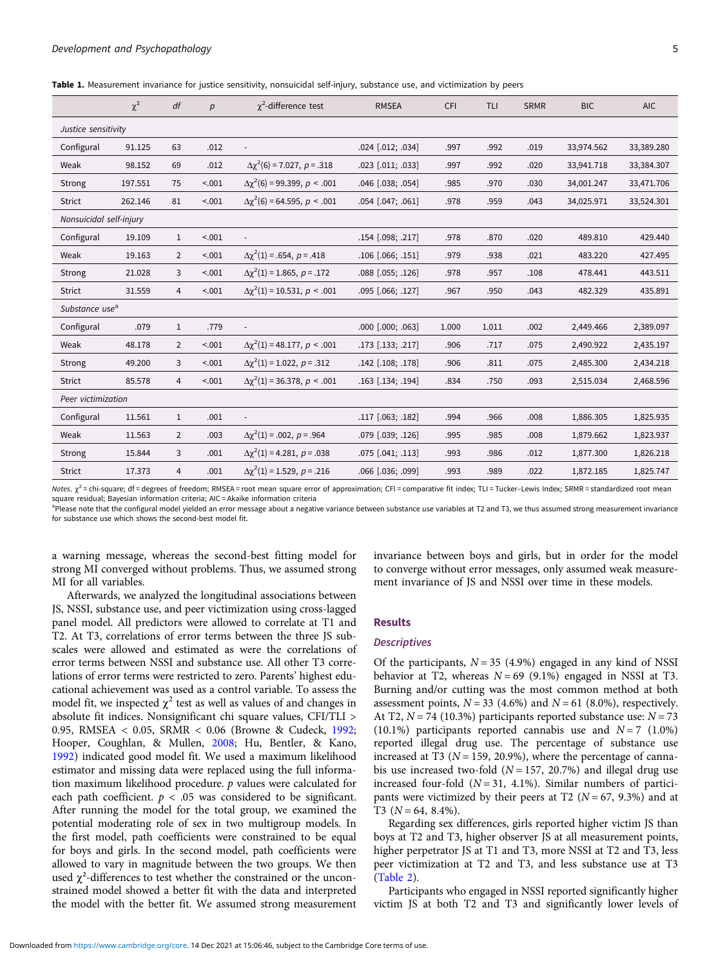<span id="page-4-0"></span>Table 1. Measurement invariance for justice sensitivity, nonsuicidal self-injury, substance use, and victimization by peers

|                            | $\chi^2$ | df             | $\boldsymbol{p}$ | $\gamma^2$ -difference test             | <b>RMSEA</b>      | CFI   | TLI   | <b>SRMR</b> | <b>BIC</b> | <b>AIC</b> |
|----------------------------|----------|----------------|------------------|-----------------------------------------|-------------------|-------|-------|-------------|------------|------------|
| Justice sensitivity        |          |                |                  |                                         |                   |       |       |             |            |            |
| Configural                 | 91.125   | 63             | .012             |                                         | .024 [.012; .034] | .997  | .992  | .019        | 33,974.562 | 33,389.280 |
| Weak                       | 98.152   | 69             | .012             | $\Delta \chi^2(6) = 7.027$ , $p = .318$ | .023 [.011; .033] | .997  | .992  | .020        | 33,941.718 | 33,384.307 |
| Strong                     | 197.551  | 75             | < .001           | $\Delta\chi^2(6) = 99.399$ , $p < .001$ | .046 [.038; .054] | .985  | .970  | .030        | 34,001.247 | 33,471.706 |
| <b>Strict</b>              | 262.146  | 81             | < .001           | $\Delta\chi^2(6)$ = 64.595, p < .001    | .054 [.047; .061] | .978  | .959  | .043        | 34,025.971 | 33,524.301 |
| Nonsuicidal self-injury    |          |                |                  |                                         |                   |       |       |             |            |            |
| Configural                 | 19.109   | $\mathbf{1}$   | < .001           | $\overline{\phantom{a}}$                | .154 [.098; .217] | .978  | .870  | .020        | 489.810    | 429.440    |
| Weak                       | 19.163   | $\overline{2}$ | < .001           | $\Delta \chi^2(1) = .654, p = .418$     | .106 [.066; .151] | .979  | .938  | .021        | 483.220    | 427.495    |
| Strong                     | 21.028   | 3              | < .001           | $\Delta\chi^2(1) = 1.865, p = .172$     | .088 [.055; .126] | .978  | .957  | .108        | 478.441    | 443.511    |
| Strict                     | 31.559   | $\overline{4}$ | < .001           | $\Delta\chi^2(1) = 10.531, p < .001$    | .095 [.066; .127] | .967  | .950  | .043        | 482.329    | 435.891    |
| Substance use <sup>a</sup> |          |                |                  |                                         |                   |       |       |             |            |            |
| Configural                 | .079     | $\mathbf{1}$   | .779             |                                         | .000 [.000; .063] | 1.000 | 1.011 | .002        | 2,449.466  | 2,389.097  |
| Weak                       | 48.178   | $\overline{2}$ | < .001           | $\Delta\chi^2(1) = 48.177$ , $p < .001$ | .173 [.133; .217] | .906  | .717  | .075        | 2,490.922  | 2,435.197  |
| <b>Strong</b>              | 49.200   | 3              | < .001           | $\Delta \chi^2(1) = 1.022, p = .312$    | .142 [.108; .178] | .906  | .811  | .075        | 2,485.300  | 2,434.218  |
| Strict                     | 85.578   | $\overline{4}$ | < .001           | $\Delta \chi^2(1) = 36.378, p < .001$   | .163 [.134; .194] | .834  | .750  | .093        | 2,515.034  | 2,468.596  |
| Peer victimization         |          |                |                  |                                         |                   |       |       |             |            |            |
| Configural                 | 11.561   | $\mathbf{1}$   | .001             | $\overline{\phantom{a}}$                | .117 [.063; .182] | .994  | .966  | .008        | 1,886.305  | 1,825.935  |
| Weak                       | 11.563   | $\overline{2}$ | .003             | $\Delta \chi^2(1) = .002, p = .964$     | .079 [.039; .126] | .995  | .985  | .008        | 1,879.662  | 1,823.937  |
| Strong                     | 15.844   | 3              | .001             | $\Delta\chi^2(1) = 4.281, p = .038$     | .075 [.041; .113] | .993  | .986  | .012        | 1,877.300  | 1,826.218  |
| <b>Strict</b>              | 17.373   | $\overline{4}$ | .001             | $\Delta\chi^2(1) = 1.529, p = .216$     | .066 [.036; .099] | .993  | .989  | .022        | 1,872.185  | 1,825.747  |

Notes.  $\chi^2$  = chi-square; df = degrees of freedom; RMSEA = root mean square error of approximation; CFI = comparative fit index; TLI = Tucker–Lewis Index; SRMR = standardized root mean square residual; Bayesian information criteria; AIC = Akaike information criteria

<sup>a</sup>Please note that the configural model yielded an error message about a negative variance between substance use variables at T2 and T3, we thus assumed strong measurement invariance for substance use which shows the second-best model fit.

a warning message, whereas the second-best fitting model for strong MI converged without problems. Thus, we assumed strong MI for all variables.

Afterwards, we analyzed the longitudinal associations between JS, NSSI, substance use, and peer victimization using cross-lagged panel model. All predictors were allowed to correlate at T1 and T2. At T3, correlations of error terms between the three JS subscales were allowed and estimated as were the correlations of error terms between NSSI and substance use. All other T3 correlations of error terms were restricted to zero. Parents' highest educational achievement was used as a control variable. To assess the model fit, we inspected  $\chi^2$  test as well as values of and changes in absolute fit indices. Nonsignificant chi square values, CFI/TLI > 0.95, RMSEA < 0.05, SRMR < 0.06 (Browne & Cudeck, [1992;](#page-10-0) Hooper, Coughlan, & Mullen, [2008;](#page-11-0) Hu, Bentler, & Kano, [1992\)](#page-11-0) indicated good model fit. We used a maximum likelihood estimator and missing data were replaced using the full information maximum likelihood procedure.  $p$  values were calculated for each path coefficient.  $p < .05$  was considered to be significant. After running the model for the total group, we examined the potential moderating role of sex in two multigroup models. In the first model, path coefficients were constrained to be equal for boys and girls. In the second model, path coefficients were allowed to vary in magnitude between the two groups. We then used  $\chi^2$ -differences to test whether the constrained or the unconstrained model showed a better fit with the data and interpreted the model with the better fit. We assumed strong measurement

invariance between boys and girls, but in order for the model to converge without error messages, only assumed weak measurement invariance of JS and NSSI over time in these models.

### Results

#### **Descriptives**

Of the participants,  $N = 35$  (4.9%) engaged in any kind of NSSI behavior at T2, whereas  $N = 69$  (9.1%) engaged in NSSI at T3. Burning and/or cutting was the most common method at both assessment points,  $N = 33$  (4.6%) and  $N = 61$  (8.0%), respectively. At T2,  $N = 74$  (10.3%) participants reported substance use:  $N = 73$ (10.1%) participants reported cannabis use and  $N=7$  (1.0%) reported illegal drug use. The percentage of substance use increased at T3 ( $N = 159, 20.9\%$ ), where the percentage of cannabis use increased two-fold ( $N = 157$ , 20.7%) and illegal drug use increased four-fold  $(N = 31, 4.1\%)$ . Similar numbers of participants were victimized by their peers at T2 ( $N = 67, 9.3\%$ ) and at T3  $(N = 64, 8.4\%)$ .

Regarding sex differences, girls reported higher victim JS than boys at T2 and T3, higher observer JS at all measurement points, higher perpetrator JS at T1 and T3, more NSSI at T2 and T3, less peer victimization at T2 and T3, and less substance use at T3 [\(Table 2](#page-5-0)).

Participants who engaged in NSSI reported significantly higher victim JS at both T2 and T3 and significantly lower levels of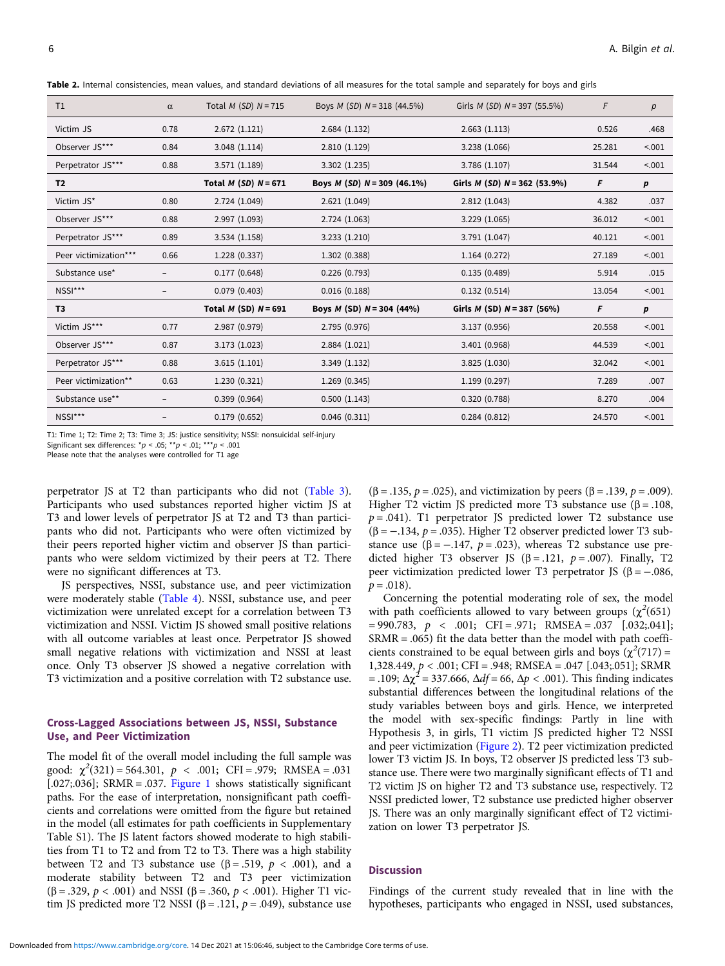<span id="page-5-0"></span>Table 2. Internal consistencies, mean values, and standard deviations of all measures for the total sample and separately for boys and girls

| T1                    | $\alpha$                 | Total $M(SD)$ $N = 715$  | Boys <i>M</i> ( <i>SD</i> ) $N = 318$ (44.5%) | Girls $M(SD)$ $N = 397$ (55.5%) | F      | р      |
|-----------------------|--------------------------|--------------------------|-----------------------------------------------|---------------------------------|--------|--------|
| Victim JS             | 0.78                     | 2.672(1.121)             | 2.684(1.132)                                  | 2.663(1.113)                    | 0.526  | .468   |
| Observer JS***        | 0.84                     | 3.048(1.114)             | 2.810 (1.129)                                 | 3.238 (1.066)                   | 25.281 | < .001 |
| Perpetrator JS***     | 0.88                     | 3.571 (1.189)            | 3.302(1.235)                                  | 3.786(1.107)                    | 31.544 | < .001 |
| T2                    |                          | Total $M(SD)$ $N = 671$  | Boys <i>M</i> ( <i>SD</i> ) $N = 309$ (46.1%) | Girls $M(SD)$ $N = 362$ (53.9%) | F      | p      |
| Victim JS*            | 0.80                     | 2.724 (1.049)            | 2.621 (1.049)                                 | 2.812 (1.043)                   | 4.382  | .037   |
| Observer JS***        | 0.88                     | 2.997 (1.093)            | 2.724 (1.063)                                 | 3.229 (1.065)                   | 36.012 | < .001 |
| Perpetrator JS***     | 0.89                     | 3.534(1.158)             | 3.233(1.210)                                  | 3.791(1.047)                    | 40.121 | < .001 |
| Peer victimization*** | 0.66                     | 1.228 (0.337)            | 1.302 (0.388)                                 | 1.164(0.272)                    | 27.189 | < .001 |
| Substance use*        |                          | 0.177(0.648)             | 0.226(0.793)                                  | 0.135(0.489)                    | 5.914  | .015   |
| NSSI***               | $\overline{\phantom{0}}$ | 0.079(0.403)             | 0.016(0.188)                                  | 0.132(0.514)                    | 13.054 | < .001 |
| T3                    |                          | Total $M$ (SD) $N = 691$ | Boys <i>M</i> (SD) $N = 304$ (44%)            | Girls $M$ (SD) $N = 387$ (56%)  | F      | р      |
| Victim JS***          | 0.77                     | 2.987 (0.979)            | 2.795 (0.976)                                 | 3.137 (0.956)                   | 20.558 | < .001 |
| Observer JS***        | 0.87                     | 3.173 (1.023)            | 2.884 (1.021)                                 | 3.401 (0.968)                   | 44.539 | < .001 |
| Perpetrator JS***     | 0.88                     | 3.615(1.101)             | 3.349 (1.132)                                 | 3.825(1.030)                    | 32.042 | < .001 |
| Peer victimization**  | 0.63                     | 1.230 (0.321)            | 1.269 (0.345)                                 | 1.199(0.297)                    | 7.289  | .007   |
| Substance use**       |                          | 0.399(0.964)             | 0.500(1.143)                                  | 0.320(0.788)                    | 8.270  | .004   |
| NSSI***               |                          | 0.179(0.652)             | 0.046(0.311)                                  | 0.284(0.812)                    | 24.570 | < .001 |

T1: Time 1; T2: Time 2; T3: Time 3; JS: justice sensitivity; NSSI: nonsuicidal self-injury

Significant sex differences:  $np < .05;$  \*\*p < .01; \*\*\*p < .001 Please note that the analyses were controlled for T1 age

perpetrator JS at T2 than participants who did not ([Table 3\)](#page-6-0).

Participants who used substances reported higher victim JS at T3 and lower levels of perpetrator JS at T2 and T3 than participants who did not. Participants who were often victimized by their peers reported higher victim and observer JS than participants who were seldom victimized by their peers at T2. There were no significant differences at T3.

JS perspectives, NSSI, substance use, and peer victimization were moderately stable [\(Table 4](#page-7-0)). NSSI, substance use, and peer victimization were unrelated except for a correlation between T3 victimization and NSSI. Victim JS showed small positive relations with all outcome variables at least once. Perpetrator JS showed small negative relations with victimization and NSSI at least once. Only T3 observer JS showed a negative correlation with T3 victimization and a positive correlation with T2 substance use.

# Cross-Lagged Associations between JS, NSSI, Substance Use, and Peer Victimization

The model fit of the overall model including the full sample was good:  $\chi^2(321) = 564.301$ ,  $p < .001$ ; CFI = .979; RMSEA = .031 [.027;.036]; SRMR = .037. [Figure 1](#page-8-0) shows statistically significant paths. For the ease of interpretation, nonsignificant path coefficients and correlations were omitted from the figure but retained in the model (all estimates for path coefficients in Supplementary Table S1). The JS latent factors showed moderate to high stabilities from T1 to T2 and from T2 to T3. There was a high stability between T2 and T3 substance use ( $\beta$  = .519,  $p$  < .001), and a moderate stability between T2 and T3 peer victimization (β = .329, *p* < .001) and NSSI (β = .360, *p* < .001). Higher T1 victim JS predicted more T2 NSSI ( $\beta$  = .121,  $p$  = .049), substance use

 $(β = .135, p = .025)$ , and victimization by peers  $(β = .139, p = .009)$ . Higher T2 victim JS predicted more T3 substance use (β = .108,  $p = .041$ ). T1 perpetrator JS predicted lower T2 substance use ( $\beta$  = -.134,  $p$  = .035). Higher T2 observer predicted lower T3 substance use ( $\beta$  = -.147,  $p$  = .023), whereas T2 substance use predicted higher T3 observer JS ( $\beta$  = .121,  $p$  = .007). Finally, T2 peer victimization predicted lower T3 perpetrator JS (β =  $-.086$ ,  $p = .018$ ).

Concerning the potential moderating role of sex, the model with path coefficients allowed to vary between groups ( $\chi^2$ (651)  $= 990.783, p \le .001; CFI = .971; RMSEA = .037 [.032; .041];$ SRMR = .065) fit the data better than the model with path coefficients constrained to be equal between girls and boys  $(\chi^2(717))$  = 1,328.449, p < .001; CFI = .948; RMSEA = .047 [.043;.051]; SRMR = .109;  $\Delta \chi^2$  = 337.666,  $\Delta df$  = 66,  $\Delta p$  < .001). This finding indicates substantial differences between the longitudinal relations of the study variables between boys and girls. Hence, we interpreted the model with sex-specific findings: Partly in line with Hypothesis 3, in girls, T1 victim JS predicted higher T2 NSSI and peer victimization [\(Figure 2](#page-8-0)). T2 peer victimization predicted lower T3 victim JS. In boys, T2 observer JS predicted less T3 substance use. There were two marginally significant effects of T1 and T2 victim JS on higher T2 and T3 substance use, respectively. T2 NSSI predicted lower, T2 substance use predicted higher observer JS. There was an only marginally significant effect of T2 victimization on lower T3 perpetrator JS.

# **Discussion**

Findings of the current study revealed that in line with the hypotheses, participants who engaged in NSSI, used substances,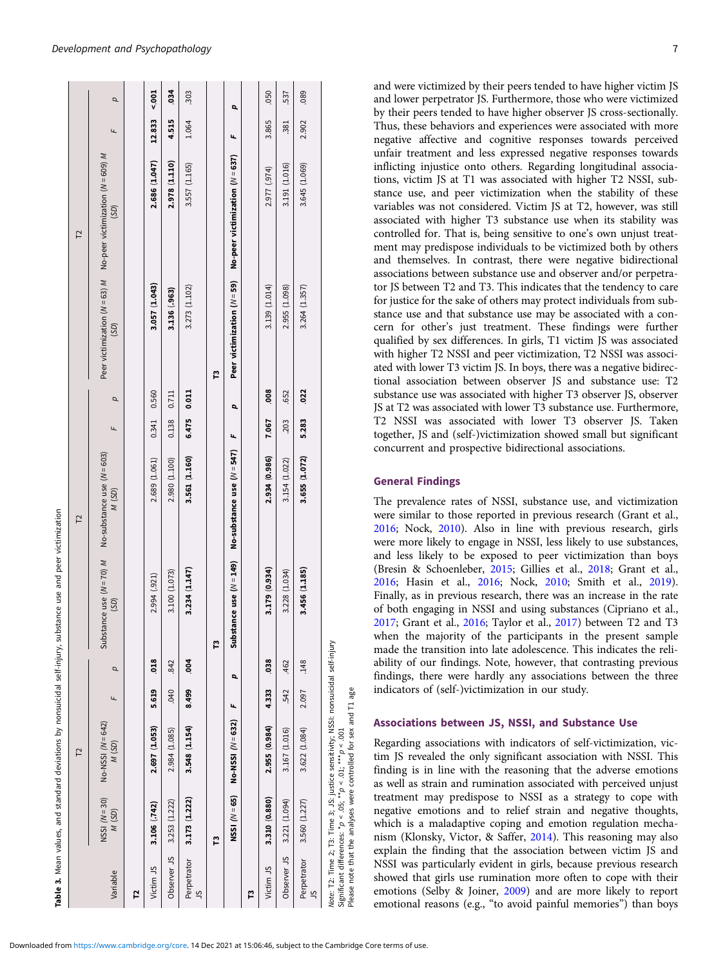<span id="page-6-0"></span>

|                  |                                                                     | $\overline{L}$                                                                                                                                           |       |      |               | $\overline{L}$                                                    |       |       |               | $\overline{L}$                                                                  |        |      |
|------------------|---------------------------------------------------------------------|----------------------------------------------------------------------------------------------------------------------------------------------------------|-------|------|---------------|-------------------------------------------------------------------|-------|-------|---------------|---------------------------------------------------------------------------------|--------|------|
| Variable         | $NSSI (N=30)$<br>M(SD)                                              | $No-NSSI (N = 642)$<br>M(SD)                                                                                                                             | Щ     | p    | (SD)          | Substance use $(N = 70)$ M No-substance use $(N = 603)$<br>M (SD) | Ł     | p     | (SD)          | Peer victimization ( $N = 63$ ) M No-peer victimization ( $N = 609$ ) M<br>(SD) | щ      | p    |
| 12               |                                                                     |                                                                                                                                                          |       |      |               |                                                                   |       |       |               |                                                                                 |        |      |
| Victim JS        | 3.106 (.742)                                                        | 2.697 (1.053)                                                                                                                                            | 5.619 | 018  | 2.994 (.921)  | 2.689 (1.061)                                                     | 0.341 | 0.560 | 3.057 (1.043) | 2.686 (1.047)                                                                   | 12.833 | 5007 |
| Observer JS      | 3.253 (1.222)                                                       | 2.984 (1.085)                                                                                                                                            | .040  | 842  | 3.100 (1.073) | 2.980 (1.100)                                                     | 0.138 | 0.711 | 3.136 (.963)  | 2.978 (1.110)                                                                   | 4.515  | 034  |
| Perpetrator<br>9 | 3.173 (1.222)                                                       | 3.548 (1.154)                                                                                                                                            | 8.499 | 004  | 3.234 (1.147) | 3.561 (1.160)                                                     | 6.475 | 0.011 | 3.273 (1.102) | 3.557 (1.165)                                                                   | 1.064  | 303  |
|                  | r                                                                   |                                                                                                                                                          |       |      | Ľ             |                                                                   |       |       | Ľ             |                                                                                 |        |      |
|                  | NSSI $(N=65)$                                                       | No-NSSI (N = 632)                                                                                                                                        | Ł     | p    |               | Substance use $(N = 149)$ No-substance use $(N = 547)$            | Ł     | p     |               | Peer victimization $(N = 59)$ No-peer victimization $(N = 637)$                 | щ      | p    |
| ဥ                |                                                                     |                                                                                                                                                          |       |      |               |                                                                   |       |       |               |                                                                                 |        |      |
| Victim JS        | 3.310 (0.880)                                                       | 2.955 (0.984)                                                                                                                                            | 4.333 | .038 | 3.179 (0.934) | 2.934 (0.986)                                                     | 7.067 | .008  | 3.139 (1.014) | 2.977 (.974)                                                                    | 3.865  | .050 |
| Observer JS      | 3.221 (1.094)                                                       | 3.167 (1.016)                                                                                                                                            | 542   | .462 | 3.228 (1.034) | 3.154 (1.022)                                                     | .203  | .652  | 2.955 (1.098) | 3.191 (1.016)                                                                   | 381    | 537  |
| Perpetrator<br>S | 3.560 (1.227)                                                       | 3.622 (1.084)                                                                                                                                            | 2.097 | .148 | 3.456 (1.185) | 3.655 (1.072)                                                     | 5.283 | .022  | 3.264 (1.357) | 3.645 (1.069)                                                                   | 2.902  | .089 |
|                  | Significant differences: $np < 0.05$ ; $* p < 0.1$ ; $* * p < 0.01$ | Note: T2: Time 2; T3: Time 3; JS: justice sensitivity; NSSI: nonsuicidal self-injury<br>Please note that the analyses were controlled for sex and T1 age |       |      |               |                                                                   |       |       |               |                                                                                 |        |      |

and were victimized by their peers tended to have higher victim JS and lower perpetrator JS. Furthermore, those who were victimized by their peers tended to have higher observer JS cross-sectionally. Thus, these behaviors and experiences were associated with more negative affective and cognitive responses towards perceived unfair treatment and less expressed negative responses towards inflicting injustice onto others. Regarding longitudinal associations, victim JS at T1 was associated with higher T2 NSSI, substance use, and peer victimization when the stability of these variables was not considered. Victim JS at T2, however, was still associated with higher T3 substance use when its stability was controlled for. That is, being sensitive to one's own unjust treatment may predispose individuals to be victimized both by others and themselves. In contrast, there were negative bidirectional associations between substance use and observer and/or perpetrator JS between T2 and T3. This indicates that the tendency to care for justice for the sake of others may protect individuals from substance use and that substance use may be associated with a concern for other's just treatment. These findings were further qualified by sex differences. In girls, T1 victim JS was associated with higher T2 NSSI and peer victimization, T2 NSSI was associated with lower T3 victim JS. In boys, there was a negative bidirectional association between observer JS and substance use: T2 substance use was associated with higher T3 observer JS, observer JS at T2 was associated with lower T3 substance use. Furthermore, T2 NSSI was associated with lower T3 observer JS. Taken together, JS and (self-)victimization showed small but significant concurrent and prospective bidirectional associations.

# General Findings

The prevalence rates of NSSI, substance use, and victimization were similar to those reported in previous research (Grant et al., [2016](#page-11-0); Nock, [2010](#page-12-0)). Also in line with previous research, girls were more likely to engage in NSSI, less likely to use substances, and less likely to be exposed to peer victimization than boys (Bresin & Schoenleber, [2015;](#page-10-0) Gillies et al., [2018](#page-11-0); Grant et al., [2016](#page-11-0); Hasin et al., [2016;](#page-11-0) Nock, [2010;](#page-12-0) Smith et al., [2019](#page-12-0)). Finally, as in previous research, there was an increase in the rate of both engaging in NSSI and using substances (Cipriano et al., [2017](#page-11-0); Grant et al., [2016;](#page-11-0) Taylor et al., [2017](#page-12-0)) between T2 and T3 when the majority of the participants in the present sample made the transition into late adolescence. This indicates the reliability of our findings. Note, however, that contrasting previous findings, there were hardly any associations between the three indicators of (self-)victimization in our study.

# Associations between JS, NSSI, and Substance Use

Regarding associations with indicators of self-victimization, victim JS revealed the only significant association with NSSI. This finding is in line with the reasoning that the adverse emotions as well as strain and rumination associated with perceived unjust treatment may predispose to NSSI as a strategy to cope with negative emotions and to relief strain and negative thoughts, which is a maladaptive coping and emotion regulation mechanism (Klonsky, Victor, & Saffer, [2014\)](#page-11-0). This reasoning may also explain the finding that the association between victim JS and NSSI was particularly evident in girls, because previous research showed that girls use rumination more often to cope with their emotions (Selby & Joiner, [2009](#page-12-0)) and are more likely to report emotional reasons (e.g., "to avoid painful memories") than boys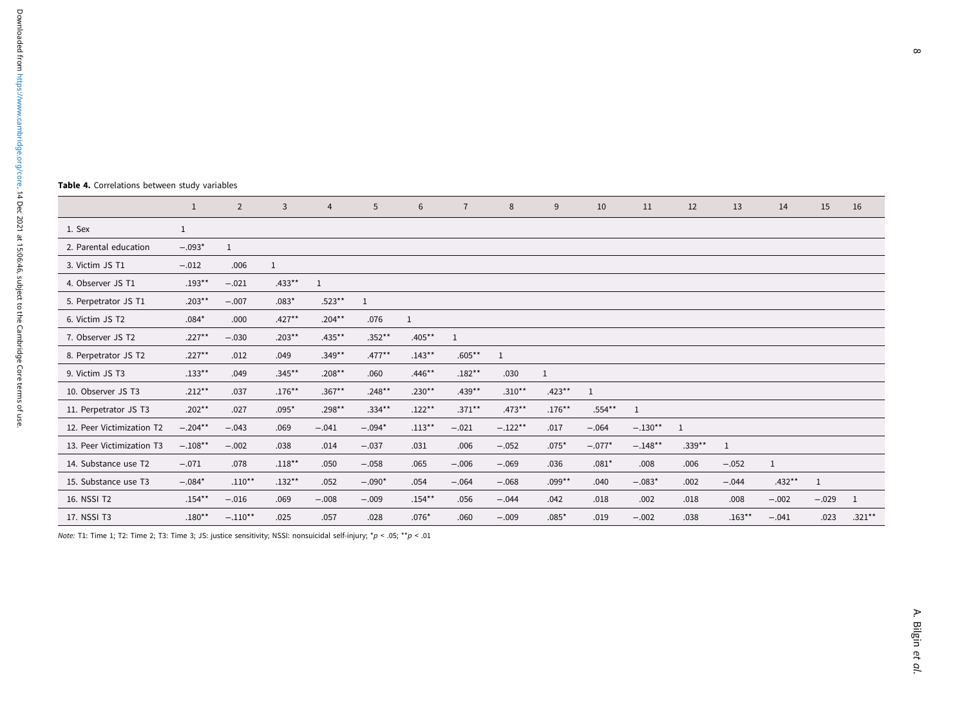#### $\infty$

#### <span id="page-7-0"></span>Table 4. Correlations between study variables

|                           | $\mathbf{1}$ | $\overline{2}$ | $\overline{3}$ | $\overline{4}$ | 5         | 6         | $\overline{7}$ | 8            | 9            | 10           | 11        | 12       | 13        | 14           | 15      | 16        |
|---------------------------|--------------|----------------|----------------|----------------|-----------|-----------|----------------|--------------|--------------|--------------|-----------|----------|-----------|--------------|---------|-----------|
| 1. Sex                    | $\mathbf{1}$ |                |                |                |           |           |                |              |              |              |           |          |           |              |         |           |
| 2. Parental education     | $-.093*$     | $\mathbf{1}$   |                |                |           |           |                |              |              |              |           |          |           |              |         |           |
| 3. Victim JS T1           | $-.012$      | .006           | $\mathbf{1}$   |                |           |           |                |              |              |              |           |          |           |              |         |           |
| 4. Observer JS T1         | $.193**$     | $-.021$        | $.433***$      | 1              |           |           |                |              |              |              |           |          |           |              |         |           |
| 5. Perpetrator JS T1      | $.203**$     | $-.007$        | $.083*$        | $.523**$       | 1         |           |                |              |              |              |           |          |           |              |         |           |
| 6. Victim JS T2           | $.084*$      | .000           | $.427***$      | $.204***$      | .076      | 1         |                |              |              |              |           |          |           |              |         |           |
| 7. Observer JS T2         | $.227**$     | $-.030$        | $.203***$      | $.435***$      | $.352**$  | $.405***$ | 1              |              |              |              |           |          |           |              |         |           |
| 8. Perpetrator JS T2      | $.227**$     | .012           | .049           | $.349**$       | $.477***$ | $.143**$  | $.605***$      | $\mathbf{1}$ |              |              |           |          |           |              |         |           |
| 9. Victim JS T3           | $.133***$    | .049           | $.345***$      | $.208**$       | .060      | $.446**$  | $.182**$       | .030         | $\mathbf{1}$ |              |           |          |           |              |         |           |
| 10. Observer JS T3        | $.212**$     | .037           | $.176***$      | $.367***$      | $.248**$  | $.230**$  | $.439**$       | $.310**$     | $.423**$     | $\mathbf{1}$ |           |          |           |              |         |           |
| 11. Perpetrator JS T3     | $.202**$     | .027           | $.095*$        | $.298**$       | $.334***$ | $.122**$  | $.371***$      | $.473***$    | $.176***$    | $.554***$    | 1         |          |           |              |         |           |
| 12. Peer Victimization T2 | $-.204**$    | $-.043$        | .069           | $-.041$        | $-.094*$  | $.113***$ | $-.021$        | $-.122**$    | .017         | $-.064$      | $-.130**$ | 1        |           |              |         |           |
| 13. Peer Victimization T3 | $-.108**$    | $-.002$        | .038           | .014           | $-.037$   | .031      | .006           | $-.052$      | $.075*$      | $-.077*$     | $-.148**$ | $.339**$ | 1         |              |         |           |
| 14. Substance use T2      | $-.071$      | .078           | $.118***$      | .050           | $-.058$   | .065      | $-.006$        | $-.069$      | .036         | $.081*$      | .008      | .006     | $-.052$   | $\mathbf{1}$ |         |           |
| 15. Substance use T3      | $-.084*$     | $.110***$      | $.132**$       | .052           | $-.090*$  | .054      | $-.064$        | $-.068$      | $.099**$     | .040         | $-.083*$  | .002     | $-.044$   | $.432**$     | 1       |           |
| 16. NSSI T2               | $.154***$    | $-.016$        | .069           | $-.008$        | $-.009$   | $.154***$ | .056           | $-.044$      | .042         | .018         | .002      | .018     | .008      | $-.002$      | $-.029$ | 1         |
| 17. NSSI T3               | $.180**$     | $-.110**$      | .025           | .057           | .028      | $.076*$   | .060           | $-.009$      | $.085*$      | .019         | $-.002$   | .038     | $.163***$ | $-.041$      | .023    | $.321***$ |

Note: T1: Time 1; T2: Time 2; T3: Time 3; JS: justice sensitivity; NSSI: nonsuicidal self-injury; \*p <sup>&</sup>lt; .05; \*\*p <sup>&</sup>lt; .01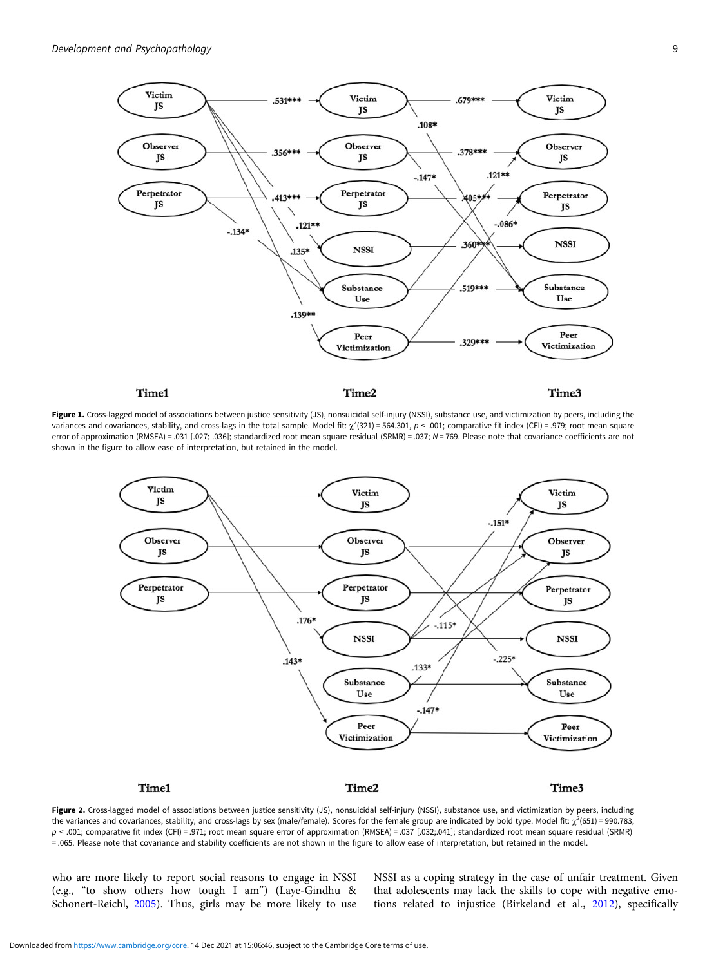<span id="page-8-0"></span>

Figure 1. Cross-lagged model of associations between justice sensitivity (JS), nonsuicidal self-injury (NSSI), substance use, and victimization by peers, including the variances and covariances, stability, and cross-lags in the total sample. Model fit:  $\chi^2(321) = 564.301$ ,  $\rho < .001$ ; comparative fit index (CFI) = .979; root mean square error of approximation (RMSEA) = .031 [.027; .036]; standardized root mean square residual (SRMR) = .037; N = 769. Please note that covariance coefficients are not shown in the figure to allow ease of interpretation, but retained in the model.



Figure 2. Cross-lagged model of associations between justice sensitivity (JS), nonsuicidal self-injury (NSSI), substance use, and victimization by peers, including the variances and covariances, stability, and cross-lags by sex (male/female). Scores for the female group are indicated by bold type. Model fit:  $\chi^2$ (651) = 990.783, p < .001; comparative fit index (CFI) = .971; root mean square error of approximation (RMSEA) = .037 [.032;.041]; standardized root mean square residual (SRMR) = .065. Please note that covariance and stability coefficients are not shown in the figure to allow ease of interpretation, but retained in the model.

who are more likely to report social reasons to engage in NSSI (e.g., "to show others how tough I am") (Laye-Gindhu & Schonert-Reichl, [2005\)](#page-11-0). Thus, girls may be more likely to use NSSI as a coping strategy in the case of unfair treatment. Given that adolescents may lack the skills to cope with negative emotions related to injustice (Birkeland et al., [2012](#page-10-0)), specifically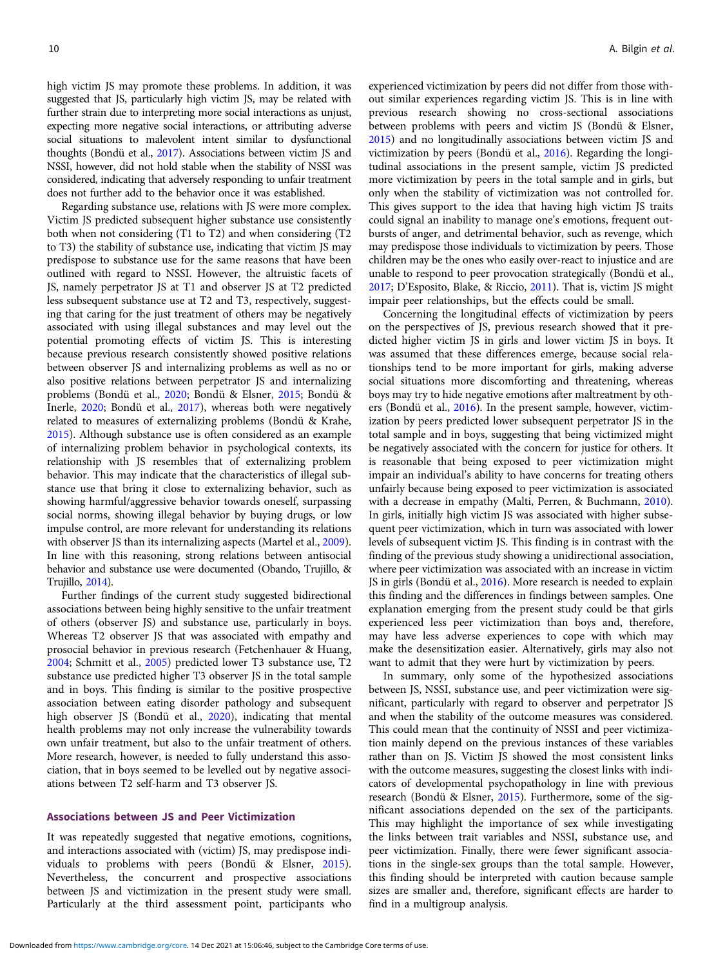high victim JS may promote these problems. In addition, it was suggested that JS, particularly high victim JS, may be related with further strain due to interpreting more social interactions as unjust, expecting more negative social interactions, or attributing adverse social situations to malevolent intent similar to dysfunctional thoughts (Bondü et al., [2017](#page-10-0)). Associations between victim JS and NSSI, however, did not hold stable when the stability of NSSI was considered, indicating that adversely responding to unfair treatment does not further add to the behavior once it was established.

Regarding substance use, relations with JS were more complex. Victim JS predicted subsequent higher substance use consistently both when not considering (T1 to T2) and when considering (T2 to T3) the stability of substance use, indicating that victim JS may predispose to substance use for the same reasons that have been outlined with regard to NSSI. However, the altruistic facets of JS, namely perpetrator JS at T1 and observer JS at T2 predicted less subsequent substance use at T2 and T3, respectively, suggesting that caring for the just treatment of others may be negatively associated with using illegal substances and may level out the potential promoting effects of victim JS. This is interesting because previous research consistently showed positive relations between observer JS and internalizing problems as well as no or also positive relations between perpetrator JS and internalizing problems (Bondü et al., [2020](#page-10-0); Bondü & Elsner, [2015](#page-10-0); Bondü & Inerle, [2020;](#page-10-0) Bondü et al., [2017\)](#page-10-0), whereas both were negatively related to measures of externalizing problems (Bondü & Krahe, [2015\)](#page-10-0). Although substance use is often considered as an example of internalizing problem behavior in psychological contexts, its relationship with JS resembles that of externalizing problem behavior. This may indicate that the characteristics of illegal substance use that bring it close to externalizing behavior, such as showing harmful/aggressive behavior towards oneself, surpassing social norms, showing illegal behavior by buying drugs, or low impulse control, are more relevant for understanding its relations with observer JS than its internalizing aspects (Martel et al., [2009\)](#page-12-0). In line with this reasoning, strong relations between antisocial behavior and substance use were documented (Obando, Trujillo, & Trujillo, [2014\)](#page-12-0).

Further findings of the current study suggested bidirectional associations between being highly sensitive to the unfair treatment of others (observer JS) and substance use, particularly in boys. Whereas T2 observer JS that was associated with empathy and prosocial behavior in previous research (Fetchenhauer & Huang, [2004;](#page-11-0) Schmitt et al., [2005](#page-12-0)) predicted lower T3 substance use, T2 substance use predicted higher T3 observer JS in the total sample and in boys. This finding is similar to the positive prospective association between eating disorder pathology and subsequent high observer JS (Bondü et al., [2020\)](#page-10-0), indicating that mental health problems may not only increase the vulnerability towards own unfair treatment, but also to the unfair treatment of others. More research, however, is needed to fully understand this association, that in boys seemed to be levelled out by negative associations between T2 self-harm and T3 observer JS.

# Associations between JS and Peer Victimization

It was repeatedly suggested that negative emotions, cognitions, and interactions associated with (victim) JS, may predispose individuals to problems with peers (Bondü & Elsner, [2015\)](#page-10-0). Nevertheless, the concurrent and prospective associations between JS and victimization in the present study were small. Particularly at the third assessment point, participants who

experienced victimization by peers did not differ from those without similar experiences regarding victim JS. This is in line with previous research showing no cross-sectional associations between problems with peers and victim JS (Bondü & Elsner, [2015](#page-10-0)) and no longitudinally associations between victim JS and victimization by peers (Bondü et al., [2016\)](#page-10-0). Regarding the longitudinal associations in the present sample, victim JS predicted more victimization by peers in the total sample and in girls, but only when the stability of victimization was not controlled for. This gives support to the idea that having high victim JS traits could signal an inability to manage one's emotions, frequent outbursts of anger, and detrimental behavior, such as revenge, which may predispose those individuals to victimization by peers. Those children may be the ones who easily over-react to injustice and are unable to respond to peer provocation strategically (Bondü et al., [2017](#page-10-0); D'Esposito, Blake, & Riccio, [2011\)](#page-11-0). That is, victim JS might impair peer relationships, but the effects could be small.

Concerning the longitudinal effects of victimization by peers on the perspectives of JS, previous research showed that it predicted higher victim JS in girls and lower victim JS in boys. It was assumed that these differences emerge, because social relationships tend to be more important for girls, making adverse social situations more discomforting and threatening, whereas boys may try to hide negative emotions after maltreatment by others (Bondü et al., [2016\)](#page-10-0). In the present sample, however, victimization by peers predicted lower subsequent perpetrator JS in the total sample and in boys, suggesting that being victimized might be negatively associated with the concern for justice for others. It is reasonable that being exposed to peer victimization might impair an individual's ability to have concerns for treating others unfairly because being exposed to peer victimization is associated with a decrease in empathy (Malti, Perren, & Buchmann, [2010](#page-12-0)). In girls, initially high victim JS was associated with higher subsequent peer victimization, which in turn was associated with lower levels of subsequent victim JS. This finding is in contrast with the finding of the previous study showing a unidirectional association, where peer victimization was associated with an increase in victim JS in girls (Bondü et al., [2016](#page-10-0)). More research is needed to explain this finding and the differences in findings between samples. One explanation emerging from the present study could be that girls experienced less peer victimization than boys and, therefore, may have less adverse experiences to cope with which may make the desensitization easier. Alternatively, girls may also not want to admit that they were hurt by victimization by peers.

In summary, only some of the hypothesized associations between JS, NSSI, substance use, and peer victimization were significant, particularly with regard to observer and perpetrator JS and when the stability of the outcome measures was considered. This could mean that the continuity of NSSI and peer victimization mainly depend on the previous instances of these variables rather than on JS. Victim JS showed the most consistent links with the outcome measures, suggesting the closest links with indicators of developmental psychopathology in line with previous research (Bondü & Elsner, [2015\)](#page-10-0). Furthermore, some of the significant associations depended on the sex of the participants. This may highlight the importance of sex while investigating the links between trait variables and NSSI, substance use, and peer victimization. Finally, there were fewer significant associations in the single-sex groups than the total sample. However, this finding should be interpreted with caution because sample sizes are smaller and, therefore, significant effects are harder to find in a multigroup analysis.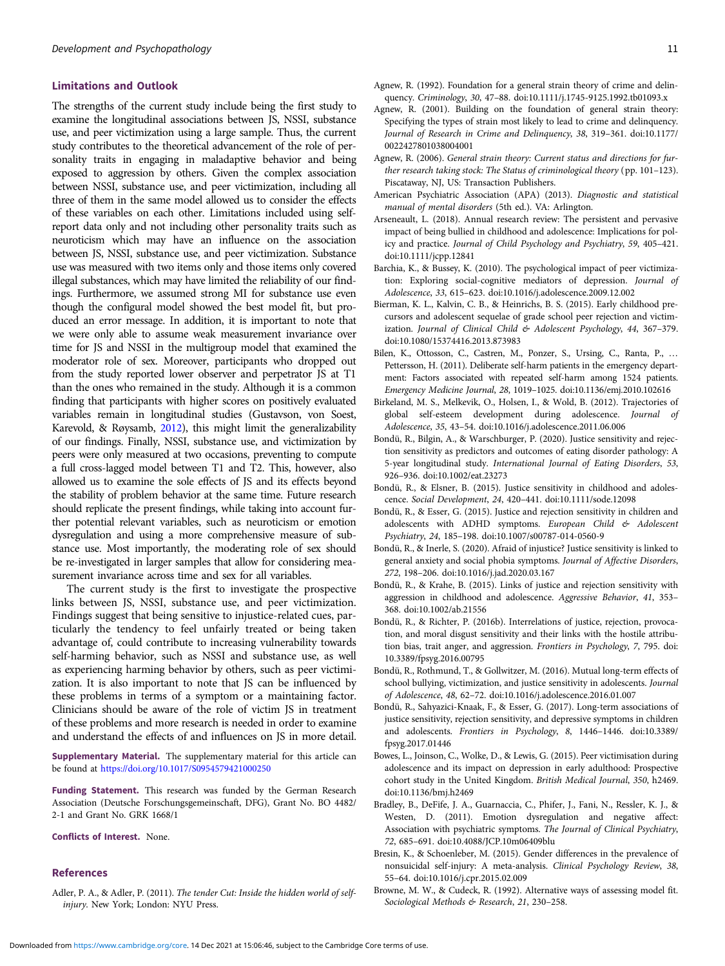# <span id="page-10-0"></span>Limitations and Outlook

The strengths of the current study include being the first study to examine the longitudinal associations between JS, NSSI, substance use, and peer victimization using a large sample. Thus, the current study contributes to the theoretical advancement of the role of personality traits in engaging in maladaptive behavior and being exposed to aggression by others. Given the complex association between NSSI, substance use, and peer victimization, including all three of them in the same model allowed us to consider the effects of these variables on each other. Limitations included using selfreport data only and not including other personality traits such as neuroticism which may have an influence on the association between JS, NSSI, substance use, and peer victimization. Substance use was measured with two items only and those items only covered illegal substances, which may have limited the reliability of our findings. Furthermore, we assumed strong MI for substance use even though the configural model showed the best model fit, but produced an error message. In addition, it is important to note that we were only able to assume weak measurement invariance over time for JS and NSSI in the multigroup model that examined the moderator role of sex. Moreover, participants who dropped out from the study reported lower observer and perpetrator JS at T1 than the ones who remained in the study. Although it is a common finding that participants with higher scores on positively evaluated variables remain in longitudinal studies (Gustavson, von Soest, Karevold, & Røysamb, [2012\)](#page-11-0), this might limit the generalizability of our findings. Finally, NSSI, substance use, and victimization by peers were only measured at two occasions, preventing to compute a full cross-lagged model between T1 and T2. This, however, also allowed us to examine the sole effects of JS and its effects beyond the stability of problem behavior at the same time. Future research should replicate the present findings, while taking into account further potential relevant variables, such as neuroticism or emotion dysregulation and using a more comprehensive measure of substance use. Most importantly, the moderating role of sex should be re-investigated in larger samples that allow for considering measurement invariance across time and sex for all variables.

The current study is the first to investigate the prospective links between JS, NSSI, substance use, and peer victimization. Findings suggest that being sensitive to injustice-related cues, particularly the tendency to feel unfairly treated or being taken advantage of, could contribute to increasing vulnerability towards self-harming behavior, such as NSSI and substance use, as well as experiencing harming behavior by others, such as peer victimization. It is also important to note that JS can be influenced by these problems in terms of a symptom or a maintaining factor. Clinicians should be aware of the role of victim JS in treatment of these problems and more research is needed in order to examine and understand the effects of and influences on JS in more detail.

Supplementary Material. The supplementary material for this article can be found at <https://doi.org/10.1017/S0954579421000250>

Funding Statement. This research was funded by the German Research Association (Deutsche Forschungsgemeinschaft, DFG), Grant No. BO 4482/ 2-1 and Grant No. GRK 1668/1

Conflicts of Interest. None.

# References

Adler, P. A., & Adler, P. (2011). The tender Cut: Inside the hidden world of selfinjury. New York; London: NYU Press.

- Agnew, R. (1992). Foundation for a general strain theory of crime and delinquency. Criminology, 30, 47–88. doi:10.1111/j.1745-9125.1992.tb01093.x
- Agnew, R. (2001). Building on the foundation of general strain theory: Specifying the types of strain most likely to lead to crime and delinquency. Journal of Research in Crime and Delinquency, 38, 319–361. doi:10.1177/ 0022427801038004001
- Agnew, R. (2006). General strain theory: Current status and directions for further research taking stock: The Status of criminological theory (pp. 101–123). Piscataway, NJ, US: Transaction Publishers.
- American Psychiatric Association (APA) (2013). Diagnostic and statistical manual of mental disorders (5th ed.). VA: Arlington.
- Arseneault, L. (2018). Annual research review: The persistent and pervasive impact of being bullied in childhood and adolescence: Implications for policy and practice. Journal of Child Psychology and Psychiatry, 59, 405–421. doi:10.1111/jcpp.12841
- Barchia, K., & Bussey, K. (2010). The psychological impact of peer victimization: Exploring social-cognitive mediators of depression. Journal of Adolescence, 33, 615–623. doi:10.1016/j.adolescence.2009.12.002
- Bierman, K. L., Kalvin, C. B., & Heinrichs, B. S. (2015). Early childhood precursors and adolescent sequelae of grade school peer rejection and victimization. Journal of Clinical Child & Adolescent Psychology, 44, 367-379. doi:10.1080/15374416.2013.873983
- Bilen, K., Ottosson, C., Castren, M., Ponzer, S., Ursing, C., Ranta, P., … Pettersson, H. (2011). Deliberate self-harm patients in the emergency department: Factors associated with repeated self-harm among 1524 patients. Emergency Medicine Journal, 28, 1019–1025. doi:10.1136/emj.2010.102616
- Birkeland, M. S., Melkevik, O., Holsen, I., & Wold, B. (2012). Trajectories of global self-esteem development during adolescence. Journal of Adolescence, 35, 43–54. doi:10.1016/j.adolescence.2011.06.006
- Bondü, R., Bilgin, A., & Warschburger, P. (2020). Justice sensitivity and rejection sensitivity as predictors and outcomes of eating disorder pathology: A 5-year longitudinal study. International Journal of Eating Disorders, 53, 926–936. doi:10.1002/eat.23273
- Bondü, R., & Elsner, B. (2015). Justice sensitivity in childhood and adolescence. Social Development, 24, 420–441. doi:10.1111/sode.12098
- Bondü, R., & Esser, G. (2015). Justice and rejection sensitivity in children and adolescents with ADHD symptoms. European Child & Adolescent Psychiatry, 24, 185–198. doi:10.1007/s00787-014-0560-9
- Bondü, R., & Inerle, S. (2020). Afraid of injustice? Justice sensitivity is linked to general anxiety and social phobia symptoms. Journal of Affective Disorders, 272, 198–206. doi:10.1016/j.jad.2020.03.167
- Bondü, R., & Krahe, B. (2015). Links of justice and rejection sensitivity with aggression in childhood and adolescence. Aggressive Behavior, 41, 353– 368. doi:10.1002/ab.21556
- Bondü, R., & Richter, P. (2016b). Interrelations of justice, rejection, provocation, and moral disgust sensitivity and their links with the hostile attribution bias, trait anger, and aggression. Frontiers in Psychology, 7, 795. doi: 10.3389/fpsyg.2016.00795
- Bondü, R., Rothmund, T., & Gollwitzer, M. (2016). Mutual long-term effects of school bullying, victimization, and justice sensitivity in adolescents. Journal of Adolescence, 48, 62–72. doi:10.1016/j.adolescence.2016.01.007
- Bondü, R., Sahyazici-Knaak, F., & Esser, G. (2017). Long-term associations of justice sensitivity, rejection sensitivity, and depressive symptoms in children and adolescents. Frontiers in Psychology, 8, 1446–1446. doi:10.3389/ fpsyg.2017.01446
- Bowes, L., Joinson, C., Wolke, D., & Lewis, G. (2015). Peer victimisation during adolescence and its impact on depression in early adulthood: Prospective cohort study in the United Kingdom. British Medical Journal, 350, h2469. doi:10.1136/bmj.h2469
- Bradley, B., DeFife, J. A., Guarnaccia, C., Phifer, J., Fani, N., Ressler, K. J., & Westen, D. (2011). Emotion dysregulation and negative affect: Association with psychiatric symptoms. The Journal of Clinical Psychiatry, 72, 685–691. doi:10.4088/JCP.10m06409blu
- Bresin, K., & Schoenleber, M. (2015). Gender differences in the prevalence of nonsuicidal self-injury: A meta-analysis. Clinical Psychology Review, 38, 55–64. doi:10.1016/j.cpr.2015.02.009
- Browne, M. W., & Cudeck, R. (1992). Alternative ways of assessing model fit. Sociological Methods & Research, 21, 230-258.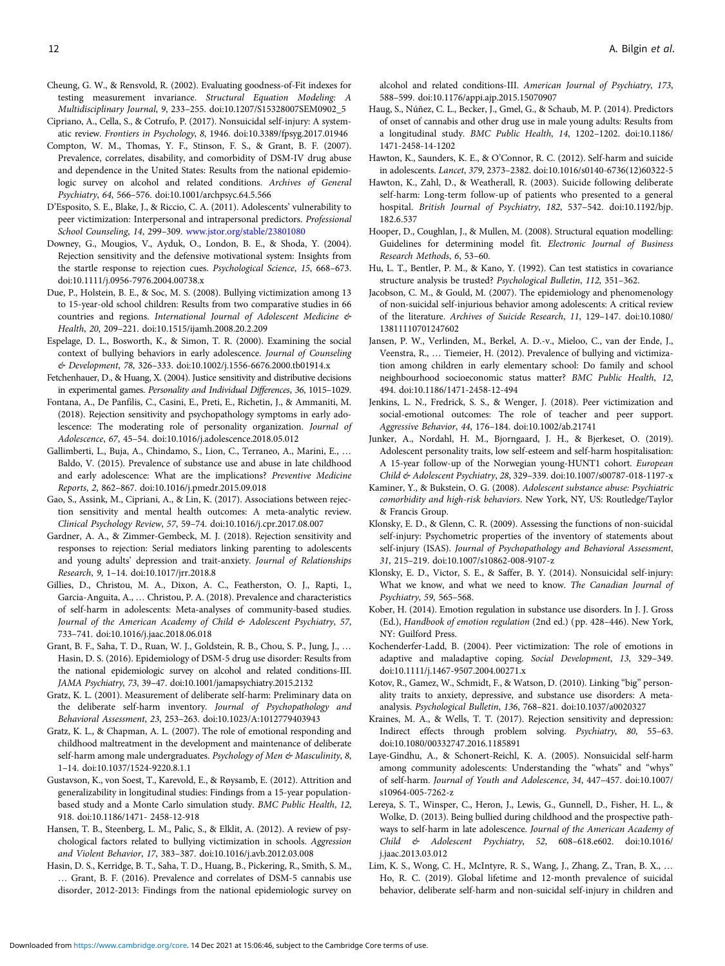<span id="page-11-0"></span>Cheung, G. W., & Rensvold, R. (2002). Evaluating goodness-of-Fit indexes for testing measurement invariance. Structural Equation Modeling: A Multidisciplinary Journal, 9, 233–255. doi:10.1207/S15328007SEM0902\_5

Cipriano, A., Cella, S., & Cotrufo, P. (2017). Nonsuicidal self-injury: A systematic review. Frontiers in Psychology, 8, 1946. doi:10.3389/fpsyg.2017.01946

- Compton, W. M., Thomas, Y. F., Stinson, F. S., & Grant, B. F. (2007). Prevalence, correlates, disability, and comorbidity of DSM-IV drug abuse and dependence in the United States: Results from the national epidemiologic survey on alcohol and related conditions. Archives of General Psychiatry, 64, 566–576. doi:10.1001/archpsyc.64.5.566
- D'Esposito, S. E., Blake, J., & Riccio, C. A. (2011). Adolescents' vulnerability to peer victimization: Interpersonal and intrapersonal predictors. Professional School Counseling, 14, 299–309. [www.jstor.org/stable/23801080](https://www.jstor.org/stable/23801080)
- Downey, G., Mougios, V., Ayduk, O., London, B. E., & Shoda, Y. (2004). Rejection sensitivity and the defensive motivational system: Insights from the startle response to rejection cues. Psychological Science, 15, 668–673. doi:10.1111/j.0956-7976.2004.00738.x
- Due, P., Holstein, B. E., & Soc, M. S. (2008). Bullying victimization among 13 to 15-year-old school children: Results from two comparative studies in 66 countries and regions. International Journal of Adolescent Medicine & Health, 20, 209–221. doi:10.1515/ijamh.2008.20.2.209
- Espelage, D. L., Bosworth, K., & Simon, T. R. (2000). Examining the social context of bullying behaviors in early adolescence. Journal of Counseling & Development, 78, 326–333. doi:10.1002/j.1556-6676.2000.tb01914.x
- Fetchenhauer, D., & Huang, X. (2004). Justice sensitivity and distributive decisions in experimental games. Personality and Individual Differences, 36, 1015–1029.
- Fontana, A., De Panfilis, C., Casini, E., Preti, E., Richetin, J., & Ammaniti, M. (2018). Rejection sensitivity and psychopathology symptoms in early adolescence: The moderating role of personality organization. Journal of Adolescence, 67, 45–54. doi:10.1016/j.adolescence.2018.05.012
- Gallimberti, L., Buja, A., Chindamo, S., Lion, C., Terraneo, A., Marini, E., … Baldo, V. (2015). Prevalence of substance use and abuse in late childhood and early adolescence: What are the implications? Preventive Medicine Reports, 2, 862–867. doi:10.1016/j.pmedr.2015.09.018
- Gao, S., Assink, M., Cipriani, A., & Lin, K. (2017). Associations between rejection sensitivity and mental health outcomes: A meta-analytic review. Clinical Psychology Review, 57, 59–74. doi:10.1016/j.cpr.2017.08.007
- Gardner, A. A., & Zimmer-Gembeck, M. J. (2018). Rejection sensitivity and responses to rejection: Serial mediators linking parenting to adolescents and young adults' depression and trait-anxiety. Journal of Relationships Research, 9, 1–14. doi:10.1017/jrr.2018.8
- Gillies, D., Christou, M. A., Dixon, A. C., Featherston, O. J., Rapti, I., Garcia-Anguita, A., … Christou, P. A. (2018). Prevalence and characteristics of self-harm in adolescents: Meta-analyses of community-based studies. Journal of the American Academy of Child & Adolescent Psychiatry, 57, 733–741. doi:10.1016/j.jaac.2018.06.018
- Grant, B. F., Saha, T. D., Ruan, W. J., Goldstein, R. B., Chou, S. P., Jung, J., … Hasin, D. S. (2016). Epidemiology of DSM-5 drug use disorder: Results from the national epidemiologic survey on alcohol and related conditions-III. JAMA Psychiatry, 73, 39–47. doi:10.1001/jamapsychiatry.2015.2132
- Gratz, K. L. (2001). Measurement of deliberate self-harm: Preliminary data on the deliberate self-harm inventory. Journal of Psychopathology and Behavioral Assessment, 23, 253–263. doi:10.1023/A:1012779403943
- Gratz, K. L., & Chapman, A. L. (2007). The role of emotional responding and childhood maltreatment in the development and maintenance of deliberate self-harm among male undergraduates. Psychology of Men & Masculinity, 8, 1–14. doi:10.1037/1524-9220.8.1.1
- Gustavson, K., von Soest, T., Karevold, E., & Røysamb, E. (2012). Attrition and generalizability in longitudinal studies: Findings from a 15-year populationbased study and a Monte Carlo simulation study. BMC Public Health, 12, 918. doi:10.1186/1471- 2458-12-918
- Hansen, T. B., Steenberg, L. M., Palic, S., & Elklit, A. (2012). A review of psychological factors related to bullying victimization in schools. Aggression and Violent Behavior, 17, 383–387. doi:10.1016/j.avb.2012.03.008
- Hasin, D. S., Kerridge, B. T., Saha, T. D., Huang, B., Pickering, R., Smith, S. M., … Grant, B. F. (2016). Prevalence and correlates of DSM-5 cannabis use disorder, 2012-2013: Findings from the national epidemiologic survey on

alcohol and related conditions-III. American Journal of Psychiatry, 173, 588–599. doi:10.1176/appi.ajp.2015.15070907

- Haug, S., Núñez, C. L., Becker, J., Gmel, G., & Schaub, M. P. (2014). Predictors of onset of cannabis and other drug use in male young adults: Results from a longitudinal study. BMC Public Health, 14, 1202–1202. doi:10.1186/ 1471-2458-14-1202
- Hawton, K., Saunders, K. E., & O'Connor, R. C. (2012). Self-harm and suicide in adolescents. Lancet, 379, 2373–2382. doi:10.1016/s0140-6736(12)60322-5
- Hawton, K., Zahl, D., & Weatherall, R. (2003). Suicide following deliberate self-harm: Long-term follow-up of patients who presented to a general hospital. British Journal of Psychiatry, 182, 537–542. doi:10.1192/bjp. 182.6.537
- Hooper, D., Coughlan, J., & Mullen, M. (2008). Structural equation modelling: Guidelines for determining model fit. Electronic Journal of Business Research Methods, 6, 53–60.
- Hu, L. T., Bentler, P. M., & Kano, Y. (1992). Can test statistics in covariance structure analysis be trusted? Psychological Bulletin, 112, 351–362.
- Jacobson, C. M., & Gould, M. (2007). The epidemiology and phenomenology of non-suicidal self-injurious behavior among adolescents: A critical review of the literature. Archives of Suicide Research, 11, 129–147. doi:10.1080/ 13811110701247602
- Jansen, P. W., Verlinden, M., Berkel, A. D.-v., Mieloo, C., van der Ende, J., Veenstra, R., … Tiemeier, H. (2012). Prevalence of bullying and victimization among children in early elementary school: Do family and school neighbourhood socioeconomic status matter? BMC Public Health, 12, 494. doi:10.1186/1471-2458-12-494
- Jenkins, L. N., Fredrick, S. S., & Wenger, J. (2018). Peer victimization and social-emotional outcomes: The role of teacher and peer support. Aggressive Behavior, 44, 176–184. doi:10.1002/ab.21741
- Junker, A., Nordahl, H. M., Bjorngaard, J. H., & Bjerkeset, O. (2019). Adolescent personality traits, low self-esteem and self-harm hospitalisation: A 15-year follow-up of the Norwegian young-HUNT1 cohort. European Child & Adolescent Psychiatry, 28, 329–339. doi:10.1007/s00787-018-1197-x
- Kaminer, Y., & Bukstein, O. G. (2008). Adolescent substance abuse: Psychiatric comorbidity and high-risk behaviors. New York, NY, US: Routledge/Taylor & Francis Group.
- Klonsky, E. D., & Glenn, C. R. (2009). Assessing the functions of non-suicidal self-injury: Psychometric properties of the inventory of statements about self-injury (ISAS). Journal of Psychopathology and Behavioral Assessment, 31, 215–219. doi:10.1007/s10862-008-9107-z
- Klonsky, E. D., Victor, S. E., & Saffer, B. Y. (2014). Nonsuicidal self-injury: What we know, and what we need to know. The Canadian Journal of Psychiatry, 59, 565–568.
- Kober, H. (2014). Emotion regulation in substance use disorders. In J. J. Gross (Ed.), Handbook of emotion regulation (2nd ed.) (pp. 428–446). New York, NY: Guilford Press.
- Kochenderfer-Ladd, B. (2004). Peer victimization: The role of emotions in adaptive and maladaptive coping. Social Development, 13, 329–349. doi:10.1111/j.1467-9507.2004.00271.x
- Kotov, R., Gamez, W., Schmidt, F., & Watson, D. (2010). Linking "big" personality traits to anxiety, depressive, and substance use disorders: A metaanalysis. Psychological Bulletin, 136, 768–821. doi:10.1037/a0020327
- Kraines, M. A., & Wells, T. T. (2017). Rejection sensitivity and depression: Indirect effects through problem solving. Psychiatry, 80, 55–63. doi:10.1080/00332747.2016.1185891
- Laye-Gindhu, A., & Schonert-Reichl, K. A. (2005). Nonsuicidal self-harm among community adolescents: Understanding the "whats" and "whys" of self-harm. Journal of Youth and Adolescence, 34, 447–457. doi:10.1007/ s10964-005-7262-z
- Lereya, S. T., Winsper, C., Heron, J., Lewis, G., Gunnell, D., Fisher, H. L., & Wolke, D. (2013). Being bullied during childhood and the prospective pathways to self-harm in late adolescence. Journal of the American Academy of Child & Adolescent Psychiatry, 52, 608–618.e602. doi:10.1016/ j.jaac.2013.03.012
- Lim, K. S., Wong, C. H., McIntyre, R. S., Wang, J., Zhang, Z., Tran, B. X., … Ho, R. C. (2019). Global lifetime and 12-month prevalence of suicidal behavior, deliberate self-harm and non-suicidal self-injury in children and